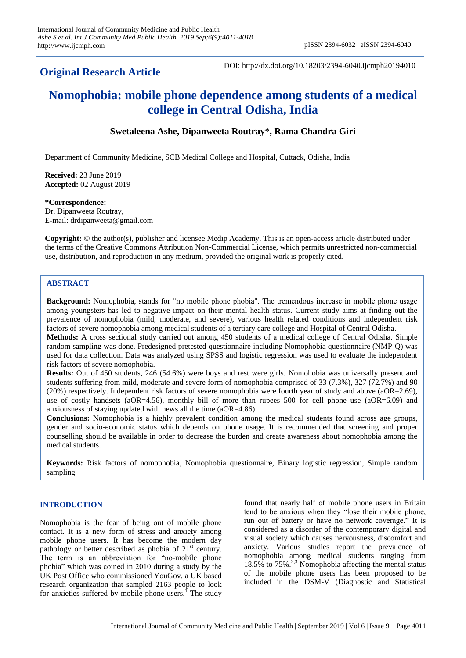## **Original Research Article**

DOI: http://dx.doi.org/10.18203/2394-6040.ijcmph20194010

# **Nomophobia: mobile phone dependence among students of a medical college in Central Odisha, India**

## **Swetaleena Ashe, Dipanweeta Routray\*, Rama Chandra Giri**

Department of Community Medicine, SCB Medical College and Hospital, Cuttack, Odisha, India

**Received:** 23 June 2019 **Accepted:** 02 August 2019

#### **\*Correspondence:**

Dr. Dipanweeta Routray, E-mail: drdipanweeta@gmail.com

**Copyright:** © the author(s), publisher and licensee Medip Academy. This is an open-access article distributed under the terms of the Creative Commons Attribution Non-Commercial License, which permits unrestricted non-commercial use, distribution, and reproduction in any medium, provided the original work is properly cited.

#### **ABSTRACT**

**Background:** Nomophobia, stands for "no mobile phone phobia". The tremendous increase in mobile phone usage among youngsters has led to negative impact on their mental health status. Current study aims at finding out the prevalence of nomophobia (mild, moderate, and severe), various health related conditions and independent risk factors of severe nomophobia among medical students of a tertiary care college and Hospital of Central Odisha.

**Methods:** A cross sectional study carried out among 450 students of a medical college of Central Odisha. Simple random sampling was done. Predesigned pretested questionnaire including Nomophobia questionnaire (NMP-Q) was used for data collection. Data was analyzed using SPSS and logistic regression was used to evaluate the independent risk factors of severe nomophobia.

**Results:** Out of 450 students, 246 (54.6%) were boys and rest were girls. Nomohobia was universally present and students suffering from mild, moderate and severe form of nomophobia comprised of 33 (7.3%), 327 (72.7%) and 90 (20%) respectively. Independent risk factors of severe nomophobia were fourth year of study and above (aOR=2.69), use of costly handsets (aOR=4.56), monthly bill of more than rupees 500 for cell phone use (aOR=6.09) and anxiousness of staying updated with news all the time (aOR=4.86).

**Conclusions:** Nomophobia is a highly prevalent condition among the medical students found across age groups, gender and socio-economic status which depends on phone usage. It is recommended that screening and proper counselling should be available in order to decrease the burden and create awareness about nomophobia among the medical students.

**Keywords:** Risk factors of nomophobia, Nomophobia questionnaire, Binary logistic regression, Simple random sampling

#### **INTRODUCTION**

Nomophobia is the fear of being out of mobile phone contact. It is a new form of stress and anxiety among mobile phone users. It has become the modern day pathology or better described as phobia of  $21<sup>st</sup>$  century. The term is an abbreviation for "no-mobile phone phobia" which was coined in 2010 during a study by the UK Post Office who commissioned YouGov, a UK based research organization that sampled 2163 people to look for anxieties suffered by mobile phone users.<sup>1</sup> The study found that nearly half of mobile phone users in Britain tend to be anxious when they "lose their mobile phone, run out of battery or have no network coverage." It is considered as a disorder of the contemporary digital and visual society which causes nervousness, discomfort and anxiety. Various studies report the prevalence of nomophobia among medical students ranging from 18.5% to 75% $^{2,3}$  Nomophobia affecting the mental status of the mobile phone users has been proposed to be included in the DSM-V (Diagnostic and Statistical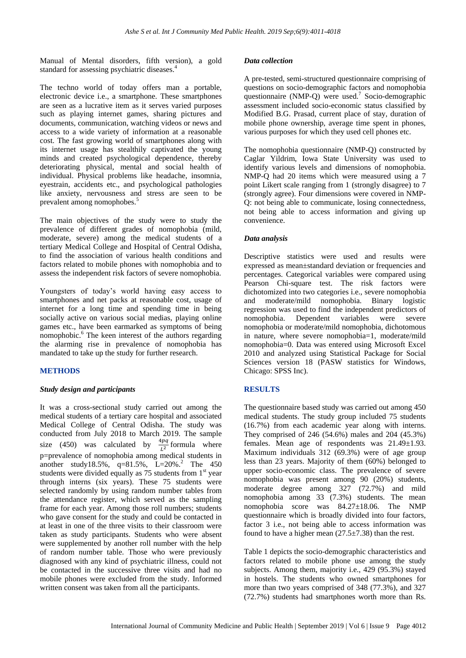Manual of Mental disorders, fifth version), a gold standard for assessing psychiatric diseases.<sup>4</sup>

The techno world of today offers man a portable, electronic device i.e., a smartphone. These smartphones are seen as a lucrative item as it serves varied purposes such as playing internet games, sharing pictures and documents, communication, watching videos or news and access to a wide variety of information at a reasonable cost. The fast growing world of smartphones along with its internet usage has stealthily captivated the young minds and created psychological dependence, thereby deteriorating physical, mental and social health of individual. Physical problems like headache, insomnia, eyestrain, accidents etc., and psychological pathologies like anxiety, nervousness and stress are seen to be prevalent among nomophobes.<sup>5</sup>

The main objectives of the study were to study the prevalence of different grades of nomophobia (mild, moderate, severe) among the medical students of a tertiary Medical College and Hospital of Central Odisha, to find the association of various health conditions and factors related to mobile phones with nomophobia and to assess the independent risk factors of severe nomophobia.

Youngsters of today's world having easy access to smartphones and net packs at reasonable cost, usage of internet for a long time and spending time in being socially active on various social medias, playing online games etc., have been earmarked as symptoms of being nomophobic.<sup>6</sup> The keen interest of the authors regarding the alarming rise in prevalence of nomophobia has mandated to take up the study for further research.

#### **METHODS**

#### *Study design and participants*

It was a cross-sectional study carried out among the medical students of a tertiary care hospital and associated Medical College of Central Odisha. The study was conducted from July 2018 to March 2019. The sample size (450) was calculated by  $\frac{4pq}{L^2}$  formula where p=prevalence of nomophobia among medical students in another study18.5%,  $q=81.5\%$ ,  $L=20\%$ <sup>2</sup> The 450 students were divided equally as  $75$  students from  $1<sup>st</sup>$  year through interns (six years). These 75 students were selected randomly by using random number tables from the attendance register, which served as the sampling frame for each year. Among those roll numbers; students who gave consent for the study and could be contacted in at least in one of the three visits to their classroom were taken as study participants. Students who were absent were supplemented by another roll number with the help of random number table. Those who were previously diagnosed with any kind of psychiatric illness, could not be contacted in the successive three visits and had no mobile phones were excluded from the study. Informed written consent was taken from all the participants.

#### *Data collection*

A pre-tested, semi-structured questionnaire comprising of questions on socio-demographic factors and nomophobia questionnaire (NMP-Q) were used.<sup>7</sup> Socio-demographic assessment included socio-economic status classified by Modified B.G. Prasad, current place of stay, duration of mobile phone ownership, average time spent in phones, various purposes for which they used cell phones etc.

The nomophobia questionnaire (NMP-Q) constructed by Caglar Yildrim, Iowa State University was used to identify various levels and dimensions of nomophobia. NMP-Q had 20 items which were measured using a 7 point Likert scale ranging from 1 (strongly disagree) to 7 (strongly agree). Four dimensions were covered in NMP-Q: not being able to communicate, losing connectedness, not being able to access information and giving up convenience.

#### *Data analysis*

Descriptive statistics were used and results were expressed as mean±standard deviation or frequencies and percentages. Categorical variables were compared using Pearson Chi-square test. The risk factors were dichotomized into two categories i.e., severe nomophobia and moderate/mild nomophobia. Binary logistic regression was used to find the independent predictors of nomophobia. Dependent variables were severe nomophobia or moderate/mild nomophobia, dichotomous in nature, where severe nomophobia=1, moderate/mild nomophobia=0. Data was entered using Microsoft Excel 2010 and analyzed using Statistical Package for Social Sciences version 18 (PASW statistics for Windows, Chicago: SPSS Inc).

#### **RESULTS**

The questionnaire based study was carried out among 450 medical students. The study group included 75 students (16.7%) from each academic year along with interns. They comprised of 246 (54.6%) males and 204 (45.3%) females. Mean age of respondents was 21.49±1.93. Maximum individuals 312 (69.3%) were of age group less than 23 years. Majority of them (60%) belonged to upper socio-economic class. The prevalence of severe nomophobia was present among 90 (20%) students, moderate degree among 327 (72.7%) and mild nomophobia among 33 (7.3%) students. The mean nomophobia score was 84.27±18.06. The NMP questionnaire which is broadly divided into four factors, factor 3 i.e., not being able to access information was found to have a higher mean  $(27.5\pm7.38)$  than the rest.

Table 1 depicts the socio-demographic characteristics and factors related to mobile phone use among the study subjects. Among them, majority i.e., 429 (95.3%) stayed in hostels. The students who owned smartphones for more than two years comprised of 348 (77.3%), and 327 (72.7%) students had smartphones worth more than Rs.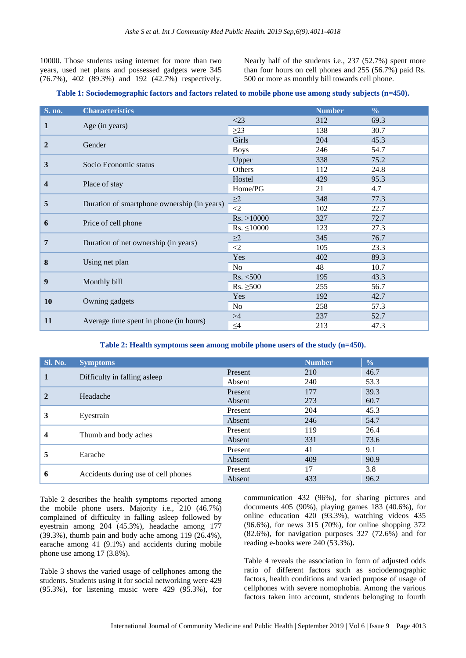10000. Those students using internet for more than two years, used net plans and possessed gadgets were 345 (76.7%), 402 (89.3%) and 192 (42.7%) respectively. Nearly half of the students i.e., 237 (52.7%) spent more than four hours on cell phones and 255 (56.7%) paid Rs. 500 or more as monthly bill towards cell phone.

#### **Table 1: Sociodemographic factors and factors related to mobile phone use among study subjects (n=450).**

| S. no. | <b>Characteristics</b>                      |                  | <b>Number</b> | $\frac{0}{0}$ |
|--------|---------------------------------------------|------------------|---------------|---------------|
|        |                                             | $<$ 23           | 312           | 69.3          |
| 1      | Age (in years)                              | $\geq$ 23        | 138           | 30.7          |
| 2      |                                             | Girls            | 204           | 45.3          |
|        | Gender                                      | <b>Boys</b>      | 246           | 54.7          |
| 3      | Socio Economic status                       | Upper            | 338           | 75.2          |
|        |                                             | Others           | 112           | 24.8          |
| 4      | Place of stay                               | Hostel           | 429           | 95.3          |
|        |                                             | Home/PG          | 21            | 4.7           |
|        | Duration of smartphone ownership (in years) | $\geq$ 2         | 348           | 77.3          |
| 5      |                                             | $\overline{2}$   | 102           | 22.7          |
| 6      |                                             | Rs. > 10000      | 327           | 72.7          |
|        | Price of cell phone                         | $Rs. \leq 10000$ | 123           | 27.3          |
| 7      |                                             | $\geq$ 2         | 345           | 76.7          |
|        | Duration of net ownership (in years)        | $\leq$ 2         | 105           | 23.3          |
| 8      | Using net plan                              | Yes              | 402           | 89.3          |
|        |                                             | N <sub>o</sub>   | 48            | 10.7          |
| 9      |                                             | Rs. <500         | 195           | 43.3          |
|        | Monthly bill                                | $Rs. \geq 500$   | 255           | 56.7          |
|        |                                             | Yes              | 192           | 42.7          |
| 10     | Owning gadgets                              | No               | 258           | 57.3          |
|        |                                             | >4               | 237           | 52.7          |
| 11     | Average time spent in phone (in hours)      | $\leq\!\!4$      | 213           | 47.3          |

#### **Table 2: Health symptoms seen among mobile phone users of the study (n=450).**

| <b>Sl. No.</b> | <b>Symptoms</b>                     |         | <b>Number</b> | $\frac{0}{0}$ |
|----------------|-------------------------------------|---------|---------------|---------------|
| $\mathbf{1}$   | Difficulty in falling asleep        | Present | 210           | 46.7          |
|                |                                     | Absent  | 240           | 53.3          |
| $\mathbf{2}$   | Headache                            | Present | 177           | 39.3          |
|                |                                     | Absent  | 273           | 60.7          |
| 3              |                                     | Present | 204           | 45.3          |
|                | Eyestrain                           | Absent  | 246           | 54.7          |
|                |                                     | Present | 119           | 26.4          |
| 4              | Thumb and body aches                | Absent  | 331           | 73.6          |
| 5              | Earache                             | Present | 41            | 9.1           |
|                |                                     | Absent  | 409           | 90.9          |
| 6              |                                     | Present | 17            | 3.8           |
|                | Accidents during use of cell phones | Absent  | 433           | 96.2          |

Table 2 describes the health symptoms reported among the mobile phone users. Majority i.e., 210 (46.7%) complained of difficulty in falling asleep followed by eyestrain among 204 (45.3%), headache among 177 (39.3%), thumb pain and body ache among 119 (26.4%), earache among 41 (9.1%) and accidents during mobile phone use among 17 (3.8%).

Table 3 shows the varied usage of cellphones among the students. Students using it for social networking were 429 (95.3%), for listening music were 429 (95.3%), for

communication 432 (96%), for sharing pictures and documents 405 (90%), playing games 183 (40.6%), for online education 420 (93.3%), watching videos 435 (96.6%), for news 315 (70%), for online shopping 372 (82.6%), for navigation purposes 327 (72.6%) and for reading e-books were 240 (53.3%)**.**

Table 4 reveals the association in form of adjusted odds ratio of different factors such as sociodemographic factors, health conditions and varied purpose of usage of cellphones with severe nomophobia. Among the various factors taken into account, students belonging to fourth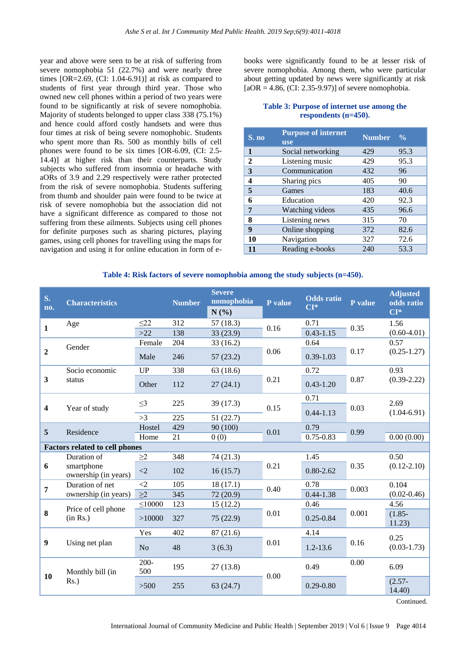year and above were seen to be at risk of suffering from severe nomophobia 51 (22.7%) and were nearly three times  $[OR=2.69, (CI: 1.04-6.91)]$  at risk as compared to students of first year through third year. Those who owned new cell phones within a period of two years were found to be significantly at risk of severe nomophobia. Majority of students belonged to upper class 338 (75.1%) and hence could afford costly handsets and were thus four times at risk of being severe nomophobic. Students who spent more than Rs. 500 as monthly bills of cell phones were found to be six times [OR-6.09, (CI: 2.5- 14.4)] at higher risk than their counterparts. Study subjects who suffered from insomnia or headache with aORs of 3.9 and 2.29 respectively were rather protected from the risk of severe nomophobia. Students suffering from thumb and shoulder pain were found to be twice at risk of severe nomophobia but the association did not have a significant difference as compared to those not suffering from these ailments. Subjects using cell phones for definite purposes such as sharing pictures, playing games, using cell phones for travelling using the maps for navigation and using it for online education in form of ebooks were significantly found to be at lesser risk of severe nomophobia. Among them, who were particular about getting updated by news were significantly at risk  $[aOR = 4.86, (CI: 2.35-9.97)]$  of severe nomophobia.

#### **Table 3: Purpose of internet use among the respondents (n=450).**

| S. no | <b>Purpose of internet</b><br><b>use</b> | <b>Number</b> | $\frac{0}{6}$ |
|-------|------------------------------------------|---------------|---------------|
| 1     | Social networking                        | 429           | 95.3          |
| 2     | Listening music                          | 429           | 95.3          |
| 3     | Communication                            | 432           | 96            |
| 4     | Sharing pics                             | 405           | 90            |
| 5     | Games                                    | 183           | 40.6          |
| 6     | Education                                | 420           | 92.3          |
| 7     | Watching videos                          | 435           | 96.6          |
| 8     | Listening news                           | 315           | 70            |
| 9     | Online shopping                          | 372           | 82.6          |
| 10    | Navigation                               | 327           | 72.6          |
| 11    | Reading e-books                          | 240           | 53.3          |

| Table 4: Risk factors of severe nomophobia among the study subjects (n=450). |  |  |  |
|------------------------------------------------------------------------------|--|--|--|
|                                                                              |  |  |  |

| S.<br>no.               | <b>Characteristics</b>                |                | <b>Number</b> | <b>Severe</b><br>nomophobia<br>N(%) | P value | <b>Odds</b> ratio<br>$CI*$ | P value | <b>Adjusted</b><br>odds ratio<br>$CI*$ |
|-------------------------|---------------------------------------|----------------|---------------|-------------------------------------|---------|----------------------------|---------|----------------------------------------|
| $\mathbf{1}$            | Age                                   | $\leq$ 22      | 312           | 57(18.3)                            | 0.16    | 0.71                       | 0.35    | 1.56                                   |
|                         |                                       | $>22$          | 138           | 33 (23.9)                           |         | $0.43 - 1.15$              |         | $(0.60 - 4.01)$                        |
|                         | Gender                                | Female         | 204           | 33(16.2)                            |         | 0.64                       |         | 0.57                                   |
| $\overline{2}$          |                                       | Male           | 246           | 57(23.2)                            | 0.06    | $0.39 - 1.03$              | 0.17    | $(0.25 - 1.27)$                        |
|                         | Socio economic                        | <b>UP</b>      | 338           | 63 (18.6)                           |         | 0.72                       |         | 0.93                                   |
| 3                       | status                                | Other          | 112           | 27(24.1)                            | 0.21    | $0.43 - 1.20$              | 0.87    | $(0.39 - 2.22)$                        |
|                         |                                       |                | 225           |                                     |         | 0.71                       |         |                                        |
| $\overline{\mathbf{4}}$ | Year of study                         | $\leq$ 3       |               | 39(17.3)                            | 0.15    | $0.44 - 1.13$              | 0.03    | 2.69<br>$(1.04 - 6.91)$                |
|                         |                                       | >3             | 225           | 51(22.7)                            |         |                            |         |                                        |
| 5                       | Residence                             | Hostel         | 429           | 90 (100)                            | 0.01    | 0.79                       | 0.99    |                                        |
|                         |                                       |                | 21            | 0(0)                                |         | $0.75 - 0.83$              |         | 0.00(0.00)                             |
|                         | <b>Factors related to cell phones</b> |                |               |                                     |         |                            |         |                                        |
|                         | Duration of                           | $\geq$ 2       | 348           | 74 (21.3)                           |         | 1.45                       |         | 0.50                                   |
| 6                       | smartphone<br>ownership (in years)    | $\langle 2$    | 102           | 16(15.7)                            | 0.21    | $0.80 - 2.62$              | 0.35    | $(0.12 - 2.10)$                        |
| $\overline{7}$          | Duration of net                       | $\langle 2$    | 105           | 18(17.1)                            |         | 0.78                       |         | 0.104                                  |
|                         | ownership (in years)                  | $\geq$ 2       | 345           | 72 (20.9)                           | 0.40    | $0.44 - 1.38$              | 0.003   | $(0.02 - 0.46)$                        |
|                         | Price of cell phone                   | $\leq 10000$   | 123           | 15(12.2)                            |         | 0.46                       |         | 4.56                                   |
| 8                       | (in Rs.)                              | >10000         | 327           | 75 (22.9)                           | 0.01    | $0.25 - 0.84$              | 0.001   | $(1.85 -$<br>11.23)                    |
|                         |                                       | Yes            | 402           | 87(21.6)                            |         | 4.14                       |         | 0.25                                   |
| $\boldsymbol{9}$        | Using net plan                        | N <sub>o</sub> | 48            | 3(6.3)                              | 0.01    | $1.2 - 13.6$               | 0.16    | $(0.03 - 1.73)$                        |
| 10                      | Monthly bill (in                      | $200 -$<br>500 | 195           | 27(13.8)                            | 0.00    | 0.49                       | 0.00    | 6.09                                   |
|                         | $Rs.$ )                               | >500           | 255           | 63(24.7)                            |         | $0.29 - 0.80$              |         | $(2.57 -$<br>14.40                     |

Continued.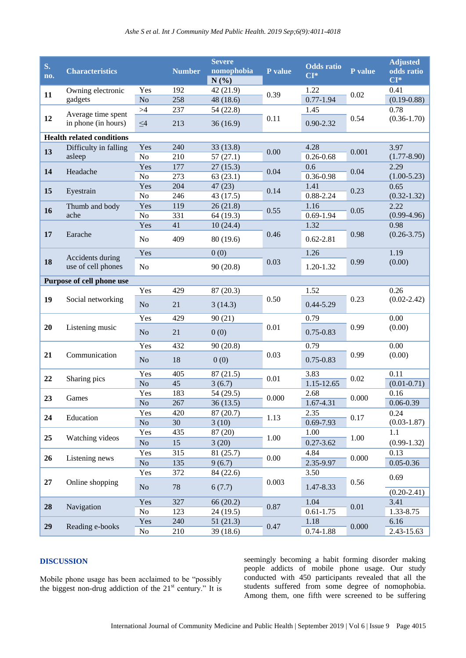| S.<br>no. | <b>Characteristics</b>                 |                       | <b>Number</b> | <b>Severe</b><br>nomophobia<br>N(%) | P value  | <b>Odds</b> ratio<br>$CI*$ | P value | <b>Adjusted</b><br>odds ratio<br>$CI*$ |
|-----------|----------------------------------------|-----------------------|---------------|-------------------------------------|----------|----------------------------|---------|----------------------------------------|
| 11        | Owning electronic                      | Yes                   | 192           | 42 (21.9)                           | 0.39     | 1.22                       | 0.02    | 0.41                                   |
|           | gadgets                                | N <sub>o</sub>        | 258           | 48 (18.6)                           |          | $0.77 - 1.94$              |         | $(0.19 - 0.88)$                        |
|           | Average time spent                     | $>\!\!4$              | 237           | 54 (22.8)                           |          | 1.45                       |         | 0.78                                   |
| 12        | in phone (in hours)                    | $\leq4$               | 213           | 36(16.9)                            | 0.11     | $0.90 - 2.32$              | 0.54    | $(0.36 - 1.70)$                        |
|           | <b>Health related conditions</b>       |                       |               |                                     |          |                            |         |                                        |
| 13        | Difficulty in falling                  | Yes                   | 240           | 33(13.8)                            | 0.00     | 4.28                       | 0.001   | 3.97                                   |
|           | asleep                                 | N <sub>o</sub>        | 210           | 57(27.1)                            |          | $0.26 - 0.68$              |         | $(1.77 - 8.90)$                        |
| 14        | Headache                               | Yes                   | 177           | 27(15.3)                            | 0.04     | 0.6                        | 0.04    | 2.29                                   |
|           |                                        | No                    | 273           | 63(23.1)                            |          | 0.36-0.98                  |         | $(1.00-5.23)$                          |
| 15        | Eyestrain                              | Yes                   | 204           | 47(23)                              | 0.14     | 1.41                       | 0.23    | 0.65                                   |
|           |                                        | No                    | 246           | 43 (17.5)                           |          | 0.88-2.24                  |         | $(0.32 - 1.32)$                        |
| 16        | Thumb and body<br>ache                 | Yes<br>No             | 119           | 26(21.8)<br>64 (19.3)               | 0.55     | 1.16<br>$0.69 - 1.94$      | 0.05    | 2.22<br>$(0.99-4.96)$                  |
|           |                                        | Yes                   | 331<br>41     | 10(24.4)                            |          | 1.32                       |         | 0.98                                   |
| 17        | Earache                                |                       |               |                                     | 0.46     |                            | 0.98    | $(0.26 - 3.75)$                        |
|           |                                        | No                    | 409           | 80 (19.6)                           |          | $0.62 - 2.81$              |         |                                        |
|           |                                        | Yes                   |               | 0(0)                                |          | 1.26                       | 0.99    | 1.19                                   |
| 18        | Accidents during<br>use of cell phones | No                    |               | 90(20.8)                            | 0.03     | 1.20-1.32                  |         | (0.00)                                 |
|           |                                        |                       |               |                                     |          |                            |         |                                        |
|           | Purpose of cell phone use              |                       |               |                                     |          |                            |         |                                        |
|           |                                        | Yes                   | 429           | 87 (20.3)                           |          | 1.52                       | 0.23    | 0.26                                   |
| 19        | Social networking                      | N <sub>o</sub>        | 21            | 3(14.3)                             | 0.50     | $0.44 - 5.29$              |         | $(0.02 - 2.42)$                        |
|           | Listening music                        | Yes                   | 429           | 90(21)                              | 0.01     | 0.79                       | 0.99    | 0.00                                   |
| 20        |                                        |                       |               |                                     |          |                            |         | (0.00)                                 |
|           |                                        | N <sub>o</sub>        | 21            | 0(0)                                |          | $0.75 - 0.83$              |         |                                        |
|           | Communication                          | Yes                   | 432           | 90(20.8)                            | 0.03     | 0.79                       | 0.99    | 0.00                                   |
| 21        |                                        | N <sub>o</sub>        | 18            | 0(0)                                |          | $0.75 - 0.83$              |         | (0.00)                                 |
|           |                                        |                       |               |                                     |          |                            |         |                                        |
| 22        | Sharing pics                           | Yes<br>N <sub>o</sub> | 405<br>45     | 87(21.5)<br>3(6.7)                  | 0.01     | 3.83<br>1.15-12.65         | 0.02    | 0.11<br>$(0.01 - 0.71)$                |
|           |                                        | Yes                   | 183           | 54 (29.5)                           |          | 2.68                       |         | 0.16                                   |
| 23        | Games                                  | N <sub>o</sub>        | 267           | 36(13.5)                            | 0.000    | 1.67-4.31                  | 0.000   | $0.06 - 0.39$                          |
|           |                                        | Yes                   | 420           | 87 (20.7)                           |          | 2.35                       |         | 0.24                                   |
| 24        | Education                              | N <sub>o</sub>        | 30            | 3(10)                               | 1.13     | 0.69-7.93                  | 0.17    | $(0.03 - 1.87)$                        |
|           |                                        | Yes                   | 435           | 87 (20)                             |          | 1.00                       |         | 1.1                                    |
| 25        | Watching videos                        | No                    | 15            | 3(20)                               | 1.00     | $0.27 - 3.62$              | 1.00    | $(0.99-1.32)$                          |
|           | Listening news                         | Yes                   | 315           | 81 (25.7)                           | $0.00\,$ | 4.84                       | 0.000   | 0.13                                   |
| 26        |                                        | No                    | 135           | 9(6.7)                              |          | 2.35-9.97                  |         | $0.05 - 0.36$                          |
| 27        | Online shopping                        | Yes                   | 372           | 84 (22.6)                           | 0.003    | 3.50                       |         | 0.69                                   |
|           |                                        | $\rm No$              | 78            | 6(7.7)                              |          | 1.47-8.33                  | 0.56    |                                        |
|           |                                        |                       |               |                                     |          |                            |         | $(0.20-2.41)$                          |
| 28        | Navigation                             | Yes                   | 327           | 66 (20.2)                           | 0.87     | 1.04                       | 0.01    | 3.41                                   |
|           |                                        | No                    | 123           | 24 (19.5)                           |          | $0.61 - 1.75$              |         | 1.33-8.75                              |
| 29        | Reading e-books                        | Yes                   | 240           | 51(21.3)                            | 0.47     | 1.18                       | 0.000   | 6.16                                   |
|           |                                        | No                    | 210           | 39(18.6)                            |          | $0.74 - 1.88$              |         | 2.43-15.63                             |

## **DISCUSSION**

Mobile phone usage has been acclaimed to be "possibly the biggest non-drug addiction of the 21<sup>st</sup> century." It is seemingly becoming a habit forming disorder making people addicts of mobile phone usage. Our study conducted with 450 participants revealed that all the students suffered from some degree of nomophobia. Among them, one fifth were screened to be suffering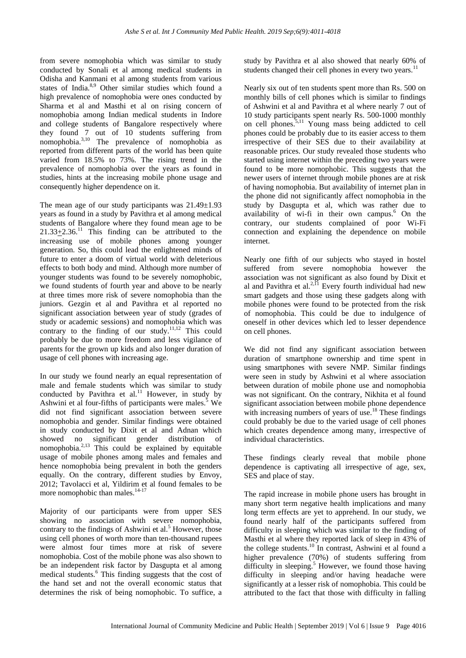from severe nomophobia which was similar to study conducted by Sonali et al among medical students in Odisha and Kanmani et al among students from various states of India.<sup>8,9</sup> Other similar studies which found a high prevalence of nomophobia were ones conducted by Sharma et al and Masthi et al on rising concern of nomophobia among Indian medical students in Indore and college students of Bangalore respectively where they found 7 out of 10 students suffering from nomophobia.<sup>3,10</sup> The prevalence of nomophobia as reported from different parts of the world has been quite varied from 18.5% to 73%. The rising trend in the prevalence of nomophobia over the years as found in studies, hints at the increasing mobile phone usage and consequently higher dependence on it.

The mean age of our study participants was  $21.49 \pm 1.93$ years as found in a study by Pavithra et al among medical students of Bangalore where they found mean age to be  $21.33+2.36$ <sup>11</sup>. This finding can be attributed to the increasing use of mobile phones among younger generation. So, this could lead the enlightened minds of future to enter a doom of virtual world with deleterious effects to both body and mind. Although more number of younger students was found to be severely nomophobic, we found students of fourth year and above to be nearly at three times more risk of severe nomophobia than the juniors. Gezgin et al and Pavithra et al reported no significant association between year of study (grades of study or academic sessions) and nomophobia which was contrary to the finding of our study.<sup>11,12</sup> This could probably be due to more freedom and less vigilance of parents for the grown up kids and also longer duration of usage of cell phones with increasing age.

In our study we found nearly an equal representation of male and female students which was similar to study conducted by Pavithra et al.<sup>11</sup> However, in study by Ashwini et al four-fifths of participants were males.<sup>5</sup> We did not find significant association between severe nomophobia and gender. Similar findings were obtained in study conducted by Dixit et al and Adnan which showed no significant gender distribution of nomophobia. $2,13$  This could be explained by equitable usage of mobile phones among males and females and hence nomophobia being prevalent in both the genders equally. On the contrary, different studies by Envoy, 2012; Tavolacci et al, Yildirim et al found females to be more nomophobic than males.<sup>14-17</sup>

Majority of our participants were from upper SES showing no association with severe nomophobia, contrary to the findings of Ashwini et al.<sup>5</sup> However, those using cell phones of worth more than ten-thousand rupees were almost four times more at risk of severe nomophobia. Cost of the mobile phone was also shown to be an independent risk factor by Dasgupta et al among medical students.<sup>6</sup> This finding suggests that the cost of the hand set and not the overall economic status that determines the risk of being nomophobic. To suffice, a study by Pavithra et al also showed that nearly 60% of students changed their cell phones in every two years.<sup>11</sup>

Nearly six out of ten students spent more than Rs. 500 on monthly bills of cell phones which is similar to findings of Ashwini et al and Pavithra et al where nearly 7 out of 10 study participants spent nearly Rs. 500-1000 monthly on cell phones.5,11 Young mass being addicted to cell phones could be probably due to its easier access to them irrespective of their SES due to their availability at reasonable prices. Our study revealed those students who started using internet within the preceding two years were found to be more nomophobic. This suggests that the newer users of internet through mobile phones are at risk of having nomophobia. But availability of internet plan in the phone did not significantly affect nomophobia in the study by Dasgupta et al, which was rather due to availability of wi-fi in their own campus.<sup>6</sup> On the contrary, our students complained of poor Wi-Fi connection and explaining the dependence on mobile internet.

Nearly one fifth of our subjects who stayed in hostel suffered from severe nomophobia however the association was not significant as also found by Dixit et al and Pavithra et al.<sup>2,11</sup> Every fourth individual had new smart gadgets and those using these gadgets along with mobile phones were found to be protected from the risk of nomophobia. This could be due to indulgence of oneself in other devices which led to lesser dependence on cell phones.

We did not find any significant association between duration of smartphone ownership and time spent in using smartphones with severe NMP. Similar findings were seen in study by Ashwini et al where association between duration of mobile phone use and nomophobia was not significant. On the contrary, Nikhita et al found significant association between mobile phone dependence with increasing numbers of years of use.<sup>18</sup> These findings could probably be due to the varied usage of cell phones which creates dependence among many, irrespective of individual characteristics.

These findings clearly reveal that mobile phone dependence is captivating all irrespective of age, sex, SES and place of stay.

The rapid increase in mobile phone users has brought in many short term negative health implications and many long term effects are yet to apprehend. In our study, we found nearly half of the participants suffered from difficulty in sleeping which was similar to the finding of Masthi et al where they reported lack of sleep in 43% of the college students.<sup>10</sup> In contrast, Ashwini et al found a higher prevalence (70%) of students suffering from difficulty in sleeping.<sup>5</sup> However, we found those having difficulty in sleeping and/or having headache were significantly at a lesser risk of nomophobia. This could be attributed to the fact that those with difficulty in falling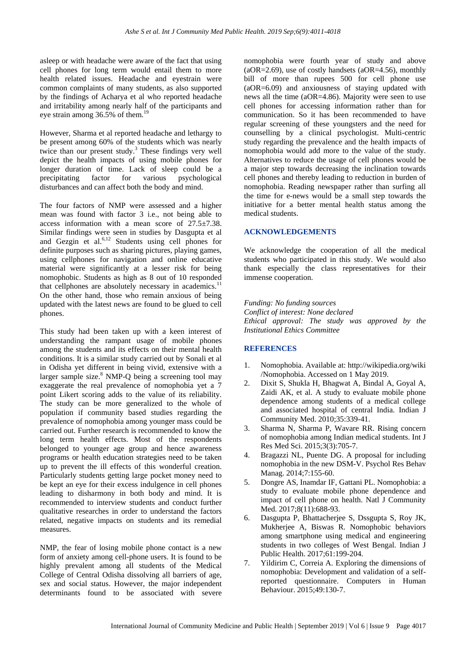asleep or with headache were aware of the fact that using cell phones for long term would entail them to more health related issues. Headache and eyestrain were common complaints of many students, as also supported by the findings of Acharya et al who reported headache and irritability among nearly half of the participants and eye strain among  $36.5\%$  of them.<sup>1</sup>

However, Sharma et al reported headache and lethargy to be present among 60% of the students which was nearly twice than our present study.<sup>3</sup> These findings very well depict the health impacts of using mobile phones for longer duration of time. Lack of sleep could be a precipitating factor for various psychological disturbances and can affect both the body and mind.

The four factors of NMP were assessed and a higher mean was found with factor 3 i.e., not being able to access information with a mean score of 27.5±7.38. Similar findings were seen in studies by Dasgupta et al and Gezgin et al. $6,12$  Students using cell phones for definite purposes such as sharing pictures, playing games, using cellphones for navigation and online educative material were significantly at a lesser risk for being nomophobic. Students as high as 8 out of 10 responded that cellphones are absolutely necessary in academics. $11$ On the other hand, those who remain anxious of being updated with the latest news are found to be glued to cell phones.

This study had been taken up with a keen interest of understanding the rampant usage of mobile phones among the students and its effects on their mental health conditions. It is a similar study carried out by Sonali et al in Odisha yet different in being vivid, extensive with a larger sample size.<sup>8</sup> NMP-Q being a screening tool may exaggerate the real prevalence of nomophobia yet a 7 point Likert scoring adds to the value of its reliability. The study can be more generalized to the whole of population if community based studies regarding the prevalence of nomophobia among younger mass could be carried out. Further research is recommended to know the long term health effects. Most of the respondents belonged to younger age group and hence awareness programs or health education strategies need to be taken up to prevent the ill effects of this wonderful creation. Particularly students getting large pocket money need to be kept an eye for their excess indulgence in cell phones leading to disharmony in both body and mind. It is recommended to interview students and conduct further qualitative researches in order to understand the factors related, negative impacts on students and its remedial measures.

NMP, the fear of losing mobile phone contact is a new form of anxiety among cell-phone users. It is found to be highly prevalent among all students of the Medical College of Central Odisha dissolving all barriers of age, sex and social status. However, the major independent determinants found to be associated with severe nomophobia were fourth year of study and above  $(aOR=2.69)$ , use of costly handsets  $(aOR=4.56)$ , monthly bill of more than rupees 500 for cell phone use (aOR=6.09) and anxiousness of staying updated with news all the time (aOR=4.86). Majority were seen to use cell phones for accessing information rather than for communication. So it has been recommended to have regular screening of these youngsters and the need for counselling by a clinical psychologist. Multi-centric study regarding the prevalence and the health impacts of nomophobia would add more to the value of the study. Alternatives to reduce the usage of cell phones would be a major step towards decreasing the inclination towards cell phones and thereby leading to reduction in burden of nomophobia. Reading newspaper rather than surfing all the time for e-news would be a small step towards the initiative for a better mental health status among the medical students.

#### **ACKNOWLEDGEMENTS**

We acknowledge the cooperation of all the medical students who participated in this study. We would also thank especially the class representatives for their immense cooperation.

*Funding: No funding sources Conflict of interest: None declared Ethical approval: The study was approved by the Institutional Ethics Committee*

### **REFERENCES**

- 1. Nomophobia. Available at: [http://wikipedia.org/w](http://wikipedia.org/)iki /Nomophobia. Accessed on 1 May 2019.
- 2. Dixit S, Shukla H, Bhagwat A, Bindal A, Goyal A, Zaidi AK, et al. A study to evaluate mobile phone dependence among students of a medical college and associated hospital of central India. Indian J Community Med. 2010;35:339-41.
- 3. Sharma N, Sharma P, Wavare RR. Rising concern of nomophobia among Indian medical students. Int J Res Med Sci. 2015;3(3):705-7.
- 4. Bragazzi NL, Puente DG. A proposal for including nomophobia in the new DSM-V. Psychol Res Behav Manag. 2014;7:155-60.
- 5. Dongre AS, Inamdar IF, Gattani PL. Nomophobia: a study to evaluate mobile phone dependence and impact of cell phone on health. Natl J Community Med. 2017;8(11):688-93.
- 6. Dasgupta P, Bhattacherjee S, Dssgupta S, Roy JK, Mukherjee A, Biswas R. Nomophobic behaviors among smartphone using medical and engineering students in two colleges of West Bengal. Indian J Public Health. 2017;61:199-204.
- 7. Yildirim C, Correia A. Exploring the dimensions of nomophobia: Development and validation of a selfreported questionnaire. Computers in Human Behaviour. 2015;49:130-7.